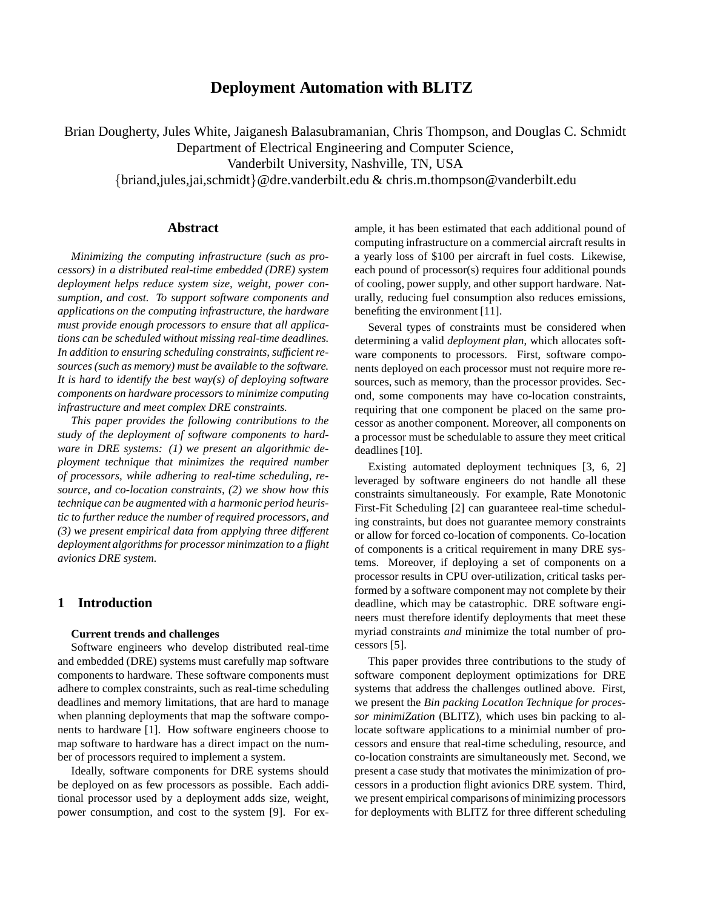# **Deployment Automation with BLITZ**

Brian Dougherty, Jules White, Jaiganesh Balasubramanian, Chris Thompson, and Douglas C. Schmidt Department of Electrical Engineering and Computer Science, Vanderbilt University, Nashville, TN, USA {briand,jules,jai,schmidt}@dre.vanderbilt.edu & chris.m.thompson@vanderbilt.edu

# **Abstract**

*Minimizing the computing infrastructure (such as processors) in a distributed real-time embedded (DRE) system deployment helps reduce system size, weight, power consumption, and cost. To support software components and applications on the computing infrastructure, the hardware must provide enough processors to ensure that all applications can be scheduled without missing real-time deadlines. In addition to ensuring scheduling constraints, sufficient resources (such as memory) must be available to the software. It is hard to identify the best way(s) of deploying software components on hardware processors to minimize computing infrastructure and meet complex DRE constraints.*

*This paper provides the following contributions to the study of the deployment of software components to hardware in DRE systems: (1) we present an algorithmic deployment technique that minimizes the required number of processors, while adhering to real-time scheduling, resource, and co-location constraints, (2) we show how this technique can be augmented with a harmonic period heuristic to further reduce the number of required processors, and (3) we present empirical data from applying three different deployment algorithms for processor minimzation to a flight avionics DRE system.*

### **1 Introduction**

#### **Current trends and challenges**

Software engineers who develop distributed real-time and embedded (DRE) systems must carefully map software components to hardware. These software components must adhere to complex constraints, such as real-time scheduling deadlines and memory limitations, that are hard to manage when planning deployments that map the software components to hardware [1]. How software engineers choose to map software to hardware has a direct impact on the number of processors required to implement a system.

Ideally, software components for DRE systems should be deployed on as few processors as possible. Each additional processor used by a deployment adds size, weight, power consumption, and cost to the system [9]. For example, it has been estimated that each additional pound of computing infrastructure on a commercial aircraft results in a yearly loss of \$100 per aircraft in fuel costs. Likewise, each pound of processor(s) requires four additional pounds of cooling, power supply, and other support hardware. Naturally, reducing fuel consumption also reduces emissions, benefiting the environment [11].

Several types of constraints must be considered when determining a valid *deployment plan*, which allocates software components to processors. First, software components deployed on each processor must not require more resources, such as memory, than the processor provides. Second, some components may have co-location constraints, requiring that one component be placed on the same processor as another component. Moreover, all components on a processor must be schedulable to assure they meet critical deadlines [10].

Existing automated deployment techniques [3, 6, 2] leveraged by software engineers do not handle all these constraints simultaneously. For example, Rate Monotonic First-Fit Scheduling [2] can guaranteee real-time scheduling constraints, but does not guarantee memory constraints or allow for forced co-location of components. Co-location of components is a critical requirement in many DRE systems. Moreover, if deploying a set of components on a processor results in CPU over-utilization, critical tasks performed by a software component may not complete by their deadline, which may be catastrophic. DRE software engineers must therefore identify deployments that meet these myriad constraints *and* minimize the total number of processors [5].

This paper provides three contributions to the study of software component deployment optimizations for DRE systems that address the challenges outlined above. First, we present the *Bin packing LocatIon Technique for processor minimiZation* (BLITZ), which uses bin packing to allocate software applications to a minimial number of processors and ensure that real-time scheduling, resource, and co-location constraints are simultaneously met. Second, we present a case study that motivates the minimization of processors in a production flight avionics DRE system. Third, we present empirical comparisons of minimizing processors for deployments with BLITZ for three different scheduling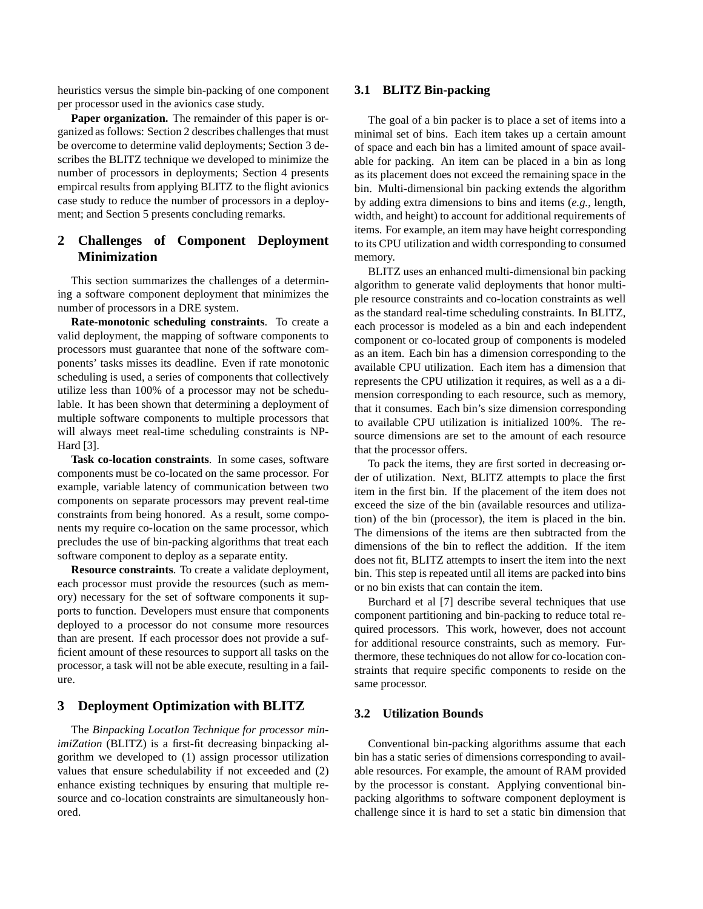heuristics versus the simple bin-packing of one component per processor used in the avionics case study.

**Paper organization.** The remainder of this paper is organized as follows: Section 2 describes challenges that must be overcome to determine valid deployments; Section 3 describes the BLITZ technique we developed to minimize the number of processors in deployments; Section 4 presents empircal results from applying BLITZ to the flight avionics case study to reduce the number of processors in a deployment; and Section 5 presents concluding remarks.

# **2 Challenges of Component Deployment Minimization**

This section summarizes the challenges of a determining a software component deployment that minimizes the number of processors in a DRE system.

**Rate-monotonic scheduling constraints**. To create a valid deployment, the mapping of software components to processors must guarantee that none of the software components' tasks misses its deadline. Even if rate monotonic scheduling is used, a series of components that collectively utilize less than 100% of a processor may not be schedulable. It has been shown that determining a deployment of multiple software components to multiple processors that will always meet real-time scheduling constraints is NP-Hard [3].

**Task co-location constraints**. In some cases, software components must be co-located on the same processor. For example, variable latency of communication between two components on separate processors may prevent real-time constraints from being honored. As a result, some components my require co-location on the same processor, which precludes the use of bin-packing algorithms that treat each software component to deploy as a separate entity.

**Resource constraints**. To create a validate deployment, each processor must provide the resources (such as memory) necessary for the set of software components it supports to function. Developers must ensure that components deployed to a processor do not consume more resources than are present. If each processor does not provide a sufficient amount of these resources to support all tasks on the processor, a task will not be able execute, resulting in a failure.

# **3 Deployment Optimization with BLITZ**

The *Binpacking LocatIon Technique for processor minimiZation* (BLITZ) is a first-fit decreasing binpacking algorithm we developed to (1) assign processor utilization values that ensure schedulability if not exceeded and (2) enhance existing techniques by ensuring that multiple resource and co-location constraints are simultaneously honored.

#### **3.1 BLITZ Bin-packing**

The goal of a bin packer is to place a set of items into a minimal set of bins. Each item takes up a certain amount of space and each bin has a limited amount of space available for packing. An item can be placed in a bin as long as its placement does not exceed the remaining space in the bin. Multi-dimensional bin packing extends the algorithm by adding extra dimensions to bins and items (*e.g.*, length, width, and height) to account for additional requirements of items. For example, an item may have height corresponding to its CPU utilization and width corresponding to consumed memory.

BLITZ uses an enhanced multi-dimensional bin packing algorithm to generate valid deployments that honor multiple resource constraints and co-location constraints as well as the standard real-time scheduling constraints. In BLITZ, each processor is modeled as a bin and each independent component or co-located group of components is modeled as an item. Each bin has a dimension corresponding to the available CPU utilization. Each item has a dimension that represents the CPU utilization it requires, as well as a a dimension corresponding to each resource, such as memory, that it consumes. Each bin's size dimension corresponding to available CPU utilization is initialized 100%. The resource dimensions are set to the amount of each resource that the processor offers.

To pack the items, they are first sorted in decreasing order of utilization. Next, BLITZ attempts to place the first item in the first bin. If the placement of the item does not exceed the size of the bin (available resources and utilization) of the bin (processor), the item is placed in the bin. The dimensions of the items are then subtracted from the dimensions of the bin to reflect the addition. If the item does not fit, BLITZ attempts to insert the item into the next bin. This step is repeated until all items are packed into bins or no bin exists that can contain the item.

Burchard et al [7] describe several techniques that use component partitioning and bin-packing to reduce total required processors. This work, however, does not account for additional resource constraints, such as memory. Furthermore, these techniques do not allow for co-location constraints that require specific components to reside on the same processor.

# **3.2 Utilization Bounds**

Conventional bin-packing algorithms assume that each bin has a static series of dimensions corresponding to available resources. For example, the amount of RAM provided by the processor is constant. Applying conventional binpacking algorithms to software component deployment is challenge since it is hard to set a static bin dimension that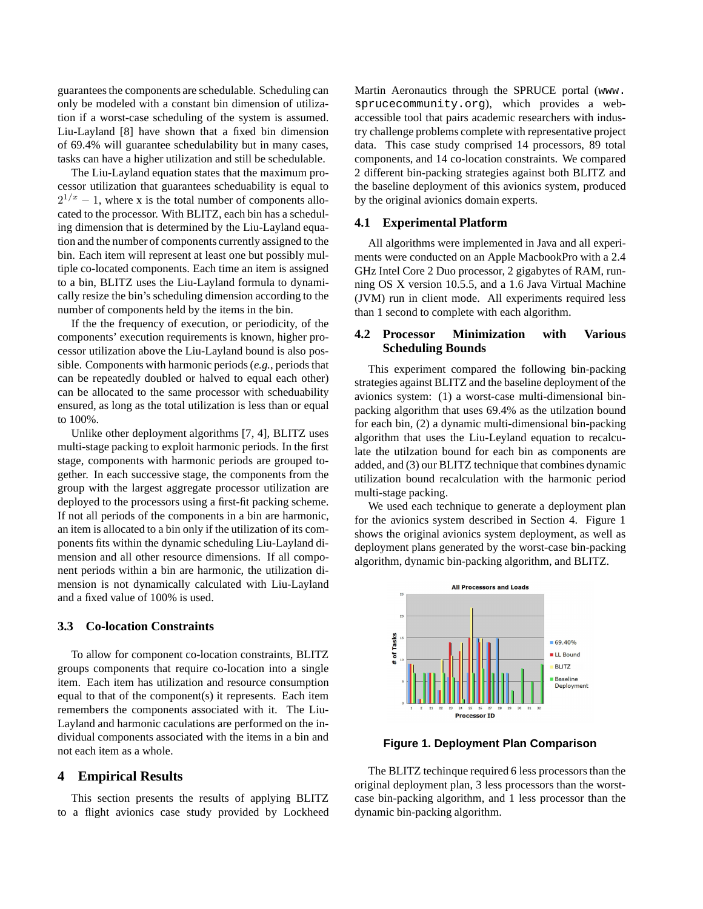guarantees the components are schedulable. Scheduling can only be modeled with a constant bin dimension of utilization if a worst-case scheduling of the system is assumed. Liu-Layland [8] have shown that a fixed bin dimension of 69.4% will guarantee schedulability but in many cases, tasks can have a higher utilization and still be schedulable.

The Liu-Layland equation states that the maximum processor utilization that guarantees scheduability is equal to  $2^{1/x} - 1$ , where x is the total number of components allocated to the processor. With BLITZ, each bin has a scheduling dimension that is determined by the Liu-Layland equation and the number of components currently assigned to the bin. Each item will represent at least one but possibly multiple co-located components. Each time an item is assigned to a bin, BLITZ uses the Liu-Layland formula to dynamically resize the bin's scheduling dimension according to the number of components held by the items in the bin.

If the the frequency of execution, or periodicity, of the components' execution requirements is known, higher processor utilization above the Liu-Layland bound is also possible. Components with harmonic periods (*e.g.*, periods that can be repeatedly doubled or halved to equal each other) can be allocated to the same processor with scheduability ensured, as long as the total utilization is less than or equal to 100%.

Unlike other deployment algorithms [7, 4], BLITZ uses multi-stage packing to exploit harmonic periods. In the first stage, components with harmonic periods are grouped together. In each successive stage, the components from the group with the largest aggregate processor utilization are deployed to the processors using a first-fit packing scheme. If not all periods of the components in a bin are harmonic, an item is allocated to a bin only if the utilization of its components fits within the dynamic scheduling Liu-Layland dimension and all other resource dimensions. If all component periods within a bin are harmonic, the utilization dimension is not dynamically calculated with Liu-Layland and a fixed value of 100% is used.

#### **3.3 Co-location Constraints**

To allow for component co-location constraints, BLITZ groups components that require co-location into a single item. Each item has utilization and resource consumption equal to that of the component(s) it represents. Each item remembers the components associated with it. The Liu-Layland and harmonic caculations are performed on the individual components associated with the items in a bin and not each item as a whole.

#### **4 Empirical Results**

This section presents the results of applying BLITZ to a flight avionics case study provided by Lockheed Martin Aeronautics through the SPRUCE portal (www. sprucecommunity.org), which provides a webaccessible tool that pairs academic researchers with industry challenge problems complete with representative project data. This case study comprised 14 processors, 89 total components, and 14 co-location constraints. We compared 2 different bin-packing strategies against both BLITZ and the baseline deployment of this avionics system, produced by the original avionics domain experts.

#### **4.1 Experimental Platform**

All algorithms were implemented in Java and all experiments were conducted on an Apple MacbookPro with a 2.4 GHz Intel Core 2 Duo processor, 2 gigabytes of RAM, running OS X version 10.5.5, and a 1.6 Java Virtual Machine (JVM) run in client mode. All experiments required less than 1 second to complete with each algorithm.

# **4.2 Processor Minimization with Various Scheduling Bounds**

This experiment compared the following bin-packing strategies against BLITZ and the baseline deployment of the avionics system: (1) a worst-case multi-dimensional binpacking algorithm that uses 69.4% as the utilzation bound for each bin, (2) a dynamic multi-dimensional bin-packing algorithm that uses the Liu-Leyland equation to recalculate the utilzation bound for each bin as components are added, and (3) our BLITZ technique that combines dynamic utilization bound recalculation with the harmonic period multi-stage packing.

We used each technique to generate a deployment plan for the avionics system described in Section 4. Figure 1 shows the original avionics system deployment, as well as deployment plans generated by the worst-case bin-packing algorithm, dynamic bin-packing algorithm, and BLITZ.



**Figure 1. Deployment Plan Comparison**

The BLITZ techinque required 6 less processors than the original deployment plan, 3 less processors than the worstcase bin-packing algorithm, and 1 less processor than the dynamic bin-packing algorithm.